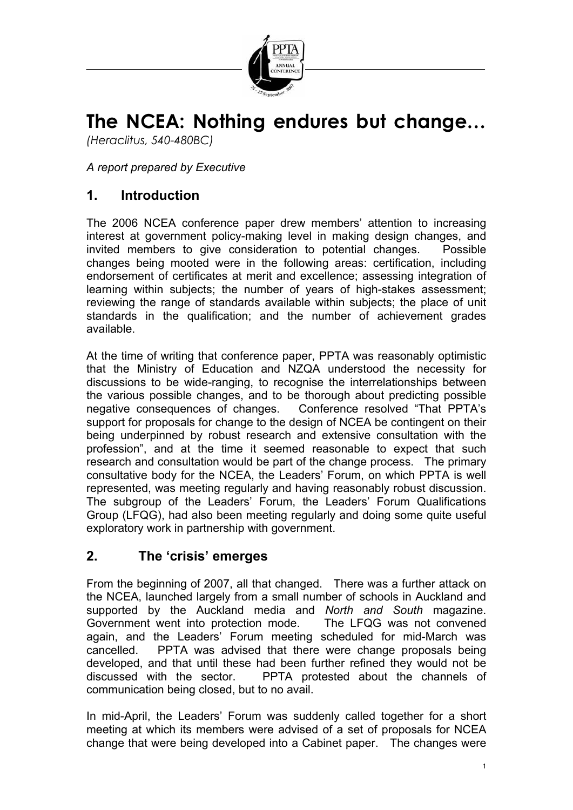

# **The NCEA: Nothing endures but change…**

*(Heraclitus, 540-480BC)*

*A report prepared by Executive* 

# **1. Introduction**

The 2006 NCEA conference paper drew members' attention to increasing interest at government policy-making level in making design changes, and invited members to give consideration to potential changes. Possible changes being mooted were in the following areas: certification, including endorsement of certificates at merit and excellence; assessing integration of learning within subjects; the number of years of high-stakes assessment; reviewing the range of standards available within subjects; the place of unit standards in the qualification; and the number of achievement grades available.

At the time of writing that conference paper, PPTA was reasonably optimistic that the Ministry of Education and NZQA understood the necessity for discussions to be wide-ranging, to recognise the interrelationships between the various possible changes, and to be thorough about predicting possible negative consequences of changes. Conference resolved "That PPTA's support for proposals for change to the design of NCEA be contingent on their being underpinned by robust research and extensive consultation with the profession", and at the time it seemed reasonable to expect that such research and consultation would be part of the change process. The primary consultative body for the NCEA, the Leaders' Forum, on which PPTA is well represented, was meeting regularly and having reasonably robust discussion. The subgroup of the Leaders' Forum, the Leaders' Forum Qualifications Group (LFQG), had also been meeting regularly and doing some quite useful exploratory work in partnership with government.

## **2. The 'crisis' emerges**

From the beginning of 2007, all that changed. There was a further attack on the NCEA, launched largely from a small number of schools in Auckland and supported by the Auckland media and *North and South* magazine. Government went into protection mode. The LFQG was not convened again, and the Leaders' Forum meeting scheduled for mid-March was cancelled. PPTA was advised that there were change proposals being developed, and that until these had been further refined they would not be discussed with the sector. PPTA protested about the channels of PPTA protested about the channels of communication being closed, but to no avail.

In mid-April, the Leaders' Forum was suddenly called together for a short meeting at which its members were advised of a set of proposals for NCEA change that were being developed into a Cabinet paper. The changes were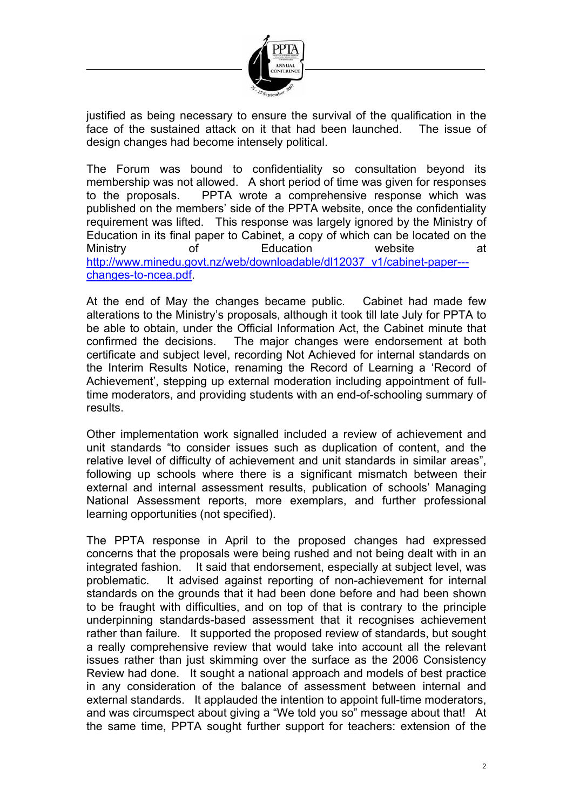

justified as being necessary to ensure the survival of the qualification in the face of the sustained attack on it that had been launched. The issue of design changes had become intensely political.

The Forum was bound to confidentiality so consultation beyond its membership was not allowed. A short period of time was given for responses to the proposals. PPTA wrote a comprehensive response which was published on the members' side of the PPTA website, once the confidentiality requirement was lifted. This response was largely ignored by the Ministry of Education in its final paper to Cabinet, a copy of which can be located on the Ministry of Education website at [http://www.minedu.govt.nz/web/downloadable/dl12037\\_v1/cabinet-paper--](http://www.minedu.govt.nz/web/downloadable/dl12037_v1/cabinet-paper---changes-to-ncea.pdf) [changes-to-ncea.pdf](http://www.minedu.govt.nz/web/downloadable/dl12037_v1/cabinet-paper---changes-to-ncea.pdf).

At the end of May the changes became public. Cabinet had made few alterations to the Ministry's proposals, although it took till late July for PPTA to be able to obtain, under the Official Information Act, the Cabinet minute that confirmed the decisions. The major changes were endorsement at both certificate and subject level, recording Not Achieved for internal standards on the Interim Results Notice, renaming the Record of Learning a 'Record of Achievement', stepping up external moderation including appointment of fulltime moderators, and providing students with an end-of-schooling summary of results.

Other implementation work signalled included a review of achievement and unit standards "to consider issues such as duplication of content, and the relative level of difficulty of achievement and unit standards in similar areas", following up schools where there is a significant mismatch between their external and internal assessment results, publication of schools' Managing National Assessment reports, more exemplars, and further professional learning opportunities (not specified).

The PPTA response in April to the proposed changes had expressed concerns that the proposals were being rushed and not being dealt with in an integrated fashion. It said that endorsement, especially at subject level, was problematic. It advised against reporting of non-achievement for internal standards on the grounds that it had been done before and had been shown to be fraught with difficulties, and on top of that is contrary to the principle underpinning standards-based assessment that it recognises achievement rather than failure. It supported the proposed review of standards, but sought a really comprehensive review that would take into account all the relevant issues rather than just skimming over the surface as the 2006 Consistency Review had done. It sought a national approach and models of best practice in any consideration of the balance of assessment between internal and external standards. It applauded the intention to appoint full-time moderators, and was circumspect about giving a "We told you so" message about that! At the same time, PPTA sought further support for teachers: extension of the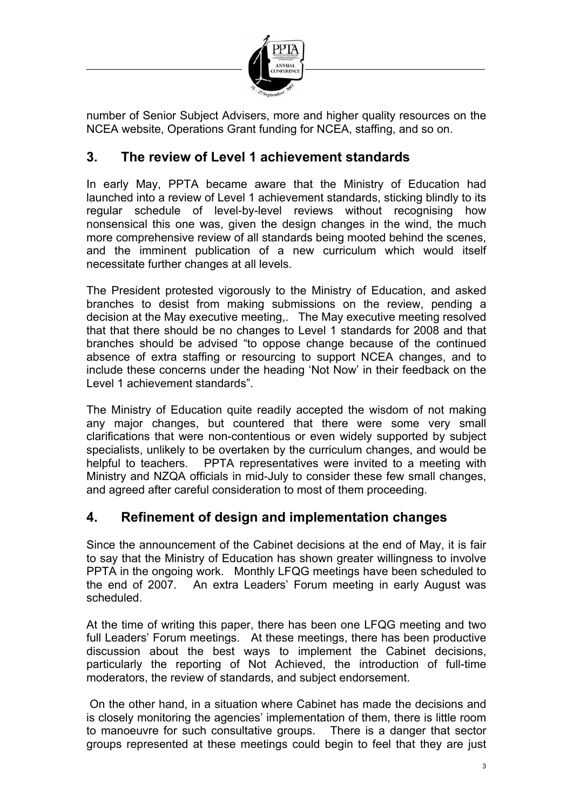

number of Senior Subject Advisers, more and higher quality resources on the NCEA website, Operations Grant funding for NCEA, staffing, and so on.

# **3. The review of Level 1 achievement standards**

In early May, PPTA became aware that the Ministry of Education had launched into a review of Level 1 achievement standards, sticking blindly to its regular schedule of level-by-level reviews without recognising how nonsensical this one was, given the design changes in the wind, the much more comprehensive review of all standards being mooted behind the scenes, and the imminent publication of a new curriculum which would itself necessitate further changes at all levels.

The President protested vigorously to the Ministry of Education, and asked branches to desist from making submissions on the review, pending a decision at the May executive meeting,. The May executive meeting resolved that that there should be no changes to Level 1 standards for 2008 and that branches should be advised "to oppose change because of the continued absence of extra staffing or resourcing to support NCEA changes, and to include these concerns under the heading 'Not Now' in their feedback on the Level 1 achievement standards".

The Ministry of Education quite readily accepted the wisdom of not making any major changes, but countered that there were some very small clarifications that were non-contentious or even widely supported by subject specialists, unlikely to be overtaken by the curriculum changes, and would be helpful to teachers. PPTA representatives were invited to a meeting with Ministry and NZQA officials in mid-July to consider these few small changes, and agreed after careful consideration to most of them proceeding.

## **4. Refinement of design and implementation changes**

Since the announcement of the Cabinet decisions at the end of May, it is fair to say that the Ministry of Education has shown greater willingness to involve PPTA in the ongoing work. Monthly LFQG meetings have been scheduled to the end of 2007. An extra Leaders' Forum meeting in early August was scheduled.

At the time of writing this paper, there has been one LFQG meeting and two full Leaders' Forum meetings. At these meetings, there has been productive discussion about the best ways to implement the Cabinet decisions, particularly the reporting of Not Achieved, the introduction of full-time moderators, the review of standards, and subject endorsement.

On the other hand, in a situation where Cabinet has made the decisions and is closely monitoring the agencies' implementation of them, there is little room to manoeuvre for such consultative groups. There is a danger that sector groups represented at these meetings could begin to feel that they are just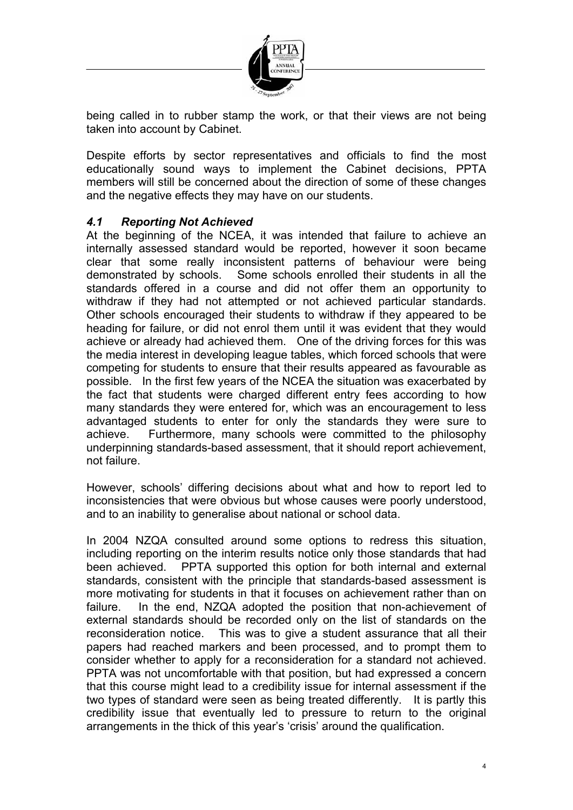

being called in to rubber stamp the work, or that their views are not being taken into account by Cabinet.

Despite efforts by sector representatives and officials to find the most educationally sound ways to implement the Cabinet decisions, PPTA members will still be concerned about the direction of some of these changes and the negative effects they may have on our students.

#### *4.1 Reporting Not Achieved*

At the beginning of the NCEA, it was intended that failure to achieve an internally assessed standard would be reported, however it soon became clear that some really inconsistent patterns of behaviour were being demonstrated by schools. Some schools enrolled their students in all the standards offered in a course and did not offer them an opportunity to withdraw if they had not attempted or not achieved particular standards. Other schools encouraged their students to withdraw if they appeared to be heading for failure, or did not enrol them until it was evident that they would achieve or already had achieved them. One of the driving forces for this was the media interest in developing league tables, which forced schools that were competing for students to ensure that their results appeared as favourable as possible. In the first few years of the NCEA the situation was exacerbated by the fact that students were charged different entry fees according to how many standards they were entered for, which was an encouragement to less advantaged students to enter for only the standards they were sure to achieve. Furthermore, many schools were committed to the philosophy underpinning standards-based assessment, that it should report achievement, not failure.

However, schools' differing decisions about what and how to report led to inconsistencies that were obvious but whose causes were poorly understood, and to an inability to generalise about national or school data.

In 2004 NZQA consulted around some options to redress this situation, including reporting on the interim results notice only those standards that had been achieved. PPTA supported this option for both internal and external standards, consistent with the principle that standards-based assessment is more motivating for students in that it focuses on achievement rather than on failure. In the end, NZQA adopted the position that non-achievement of external standards should be recorded only on the list of standards on the reconsideration notice. This was to give a student assurance that all their papers had reached markers and been processed, and to prompt them to consider whether to apply for a reconsideration for a standard not achieved. PPTA was not uncomfortable with that position, but had expressed a concern that this course might lead to a credibility issue for internal assessment if the two types of standard were seen as being treated differently. It is partly this credibility issue that eventually led to pressure to return to the original arrangements in the thick of this year's 'crisis' around the qualification.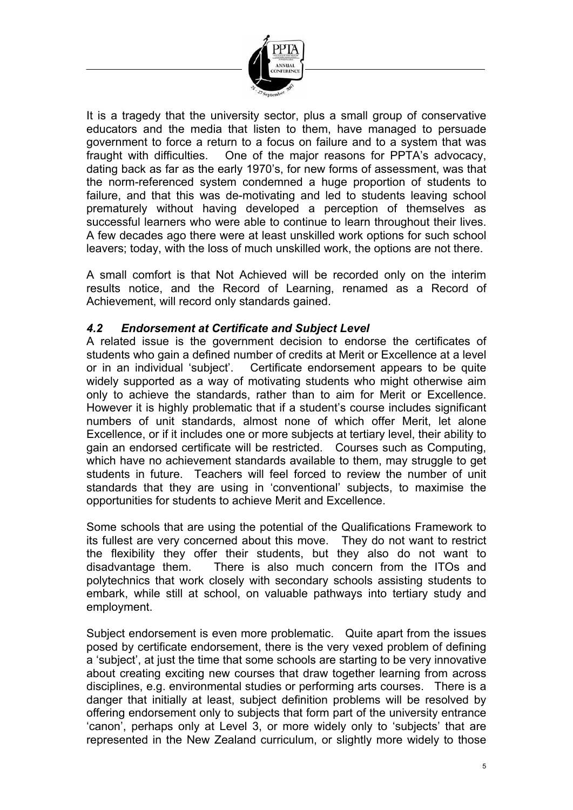

It is a tragedy that the university sector, plus a small group of conservative educators and the media that listen to them, have managed to persuade government to force a return to a focus on failure and to a system that was fraught with difficulties. One of the major reasons for PPTA's advocacy, dating back as far as the early 1970's, for new forms of assessment, was that the norm-referenced system condemned a huge proportion of students to failure, and that this was de-motivating and led to students leaving school prematurely without having developed a perception of themselves as successful learners who were able to continue to learn throughout their lives. A few decades ago there were at least unskilled work options for such school leavers; today, with the loss of much unskilled work, the options are not there.

A small comfort is that Not Achieved will be recorded only on the interim results notice, and the Record of Learning, renamed as a Record of Achievement, will record only standards gained.

#### *4.2 Endorsement at Certificate and Subject Level*

A related issue is the government decision to endorse the certificates of students who gain a defined number of credits at Merit or Excellence at a level or in an individual 'subject'. Certificate endorsement appears to be quite widely supported as a way of motivating students who might otherwise aim only to achieve the standards, rather than to aim for Merit or Excellence. However it is highly problematic that if a student's course includes significant numbers of unit standards, almost none of which offer Merit, let alone Excellence, or if it includes one or more subjects at tertiary level, their ability to gain an endorsed certificate will be restricted. Courses such as Computing, which have no achievement standards available to them, may struggle to get students in future. Teachers will feel forced to review the number of unit standards that they are using in 'conventional' subjects, to maximise the opportunities for students to achieve Merit and Excellence.

Some schools that are using the potential of the Qualifications Framework to its fullest are very concerned about this move. They do not want to restrict the flexibility they offer their students, but they also do not want to disadvantage them. There is also much concern from the ITOs and There is also much concern from the ITOs and polytechnics that work closely with secondary schools assisting students to embark, while still at school, on valuable pathways into tertiary study and employment.

Subject endorsement is even more problematic. Quite apart from the issues posed by certificate endorsement, there is the very vexed problem of defining a 'subject', at just the time that some schools are starting to be very innovative about creating exciting new courses that draw together learning from across disciplines, e.g. environmental studies or performing arts courses. There is a danger that initially at least, subject definition problems will be resolved by offering endorsement only to subjects that form part of the university entrance 'canon', perhaps only at Level 3, or more widely only to 'subjects' that are represented in the New Zealand curriculum, or slightly more widely to those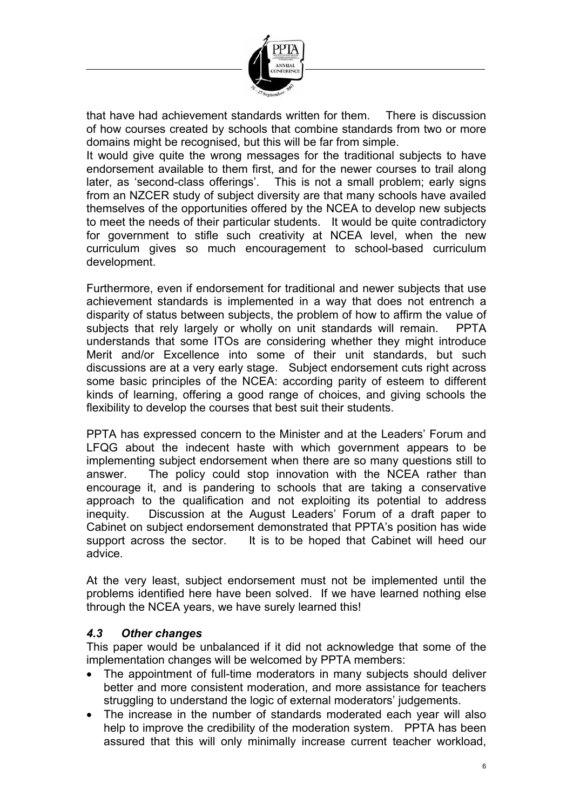

that have had achievement standards written for them. There is discussion of how courses created by schools that combine standards from two or more domains might be recognised, but this will be far from simple.

It would give quite the wrong messages for the traditional subjects to have endorsement available to them first, and for the newer courses to trail along later, as 'second-class offerings'. This is not a small problem; early signs from an NZCER study of subject diversity are that many schools have availed themselves of the opportunities offered by the NCEA to develop new subjects to meet the needs of their particular students. It would be quite contradictory for government to stifle such creativity at NCEA level, when the new curriculum gives so much encouragement to school-based curriculum development.

Furthermore, even if endorsement for traditional and newer subjects that use achievement standards is implemented in a way that does not entrench a disparity of status between subjects, the problem of how to affirm the value of subjects that rely largely or wholly on unit standards will remain. PPTA understands that some ITOs are considering whether they might introduce Merit and/or Excellence into some of their unit standards, but such discussions are at a very early stage. Subject endorsement cuts right across some basic principles of the NCEA: according parity of esteem to different kinds of learning, offering a good range of choices, and giving schools the flexibility to develop the courses that best suit their students.

PPTA has expressed concern to the Minister and at the Leaders' Forum and LFQG about the indecent haste with which government appears to be implementing subject endorsement when there are so many questions still to answer. The policy could stop innovation with the NCEA rather than encourage it, and is pandering to schools that are taking a conservative approach to the qualification and not exploiting its potential to address inequity. Discussion at the August Leaders' Forum of a draft paper to Cabinet on subject endorsement demonstrated that PPTA's position has wide support across the sector. It is to be hoped that Cabinet will heed our advice.

At the very least, subject endorsement must not be implemented until the problems identified here have been solved. If we have learned nothing else through the NCEA years, we have surely learned this!

#### *4.3 Other changes*

This paper would be unbalanced if it did not acknowledge that some of the implementation changes will be welcomed by PPTA members:

- The appointment of full-time moderators in many subjects should deliver better and more consistent moderation, and more assistance for teachers struggling to understand the logic of external moderators' judgements.
- The increase in the number of standards moderated each year will also help to improve the credibility of the moderation system. PPTA has been assured that this will only minimally increase current teacher workload,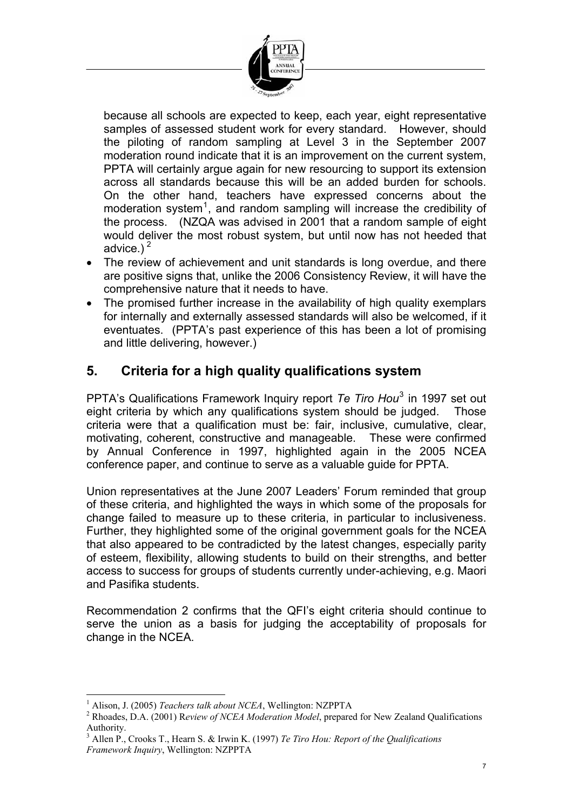

because all schools are expected to keep, each year, eight representative samples of assessed student work for every standard. However, should the piloting of random sampling at Level 3 in the September 2007 moderation round indicate that it is an improvement on the current system, PPTA will certainly argue again for new resourcing to support its extension across all standards because this will be an added burden for schools. On the other hand, teachers have expressed concerns about the moderation system<sup>1</sup>, and random sampling will increase the credibility of the process. (NZQA was advised in 2001 that a random sample of eight would deliver the most robust system, but until now has not heeded that advice.) $<sup>2</sup>$ </sup>

- The review of achievement and unit standards is long overdue, and there are positive signs that, unlike the 2006 Consistency Review, it will have the comprehensive nature that it needs to have.
- The promised further increase in the availability of high quality exemplars for internally and externally assessed standards will also be welcomed, if it eventuates. (PPTA's past experience of this has been a lot of promising and little delivering, however.)

# **5. Criteria for a high quality qualifications system**

PPTA's Qualifications Framework Inquiry report *Te Tiro Hou*[3](#page-6-0) in 1997 set out eight criteria by which any qualifications system should be judged. Those criteria were that a qualification must be: fair, inclusive, cumulative, clear, motivating, coherent, constructive and manageable. These were confirmed by Annual Conference in 1997, highlighted again in the 2005 NCEA conference paper, and continue to serve as a valuable guide for PPTA.

Union representatives at the June 2007 Leaders' Forum reminded that group of these criteria, and highlighted the ways in which some of the proposals for change failed to measure up to these criteria, in particular to inclusiveness. Further, they highlighted some of the original government goals for the NCEA that also appeared to be contradicted by the latest changes, especially parity of esteem, flexibility, allowing students to build on their strengths, and better access to success for groups of students currently under-achieving, e.g. Maori and Pasifika students.

Recommendation 2 confirms that the QFI's eight criteria should continue to serve the union as a basis for judging the acceptability of proposals for change in the NCEA.

 $\overline{a}$ 1 Alison, J. (2005) *Teachers talk about NCEA*, Wellington: NZPPTA 2

Rhoades, D.A. (2001) R*eview of NCEA Moderation Model*, prepared for New Zealand Qualifications Authority.

<span id="page-6-0"></span><sup>3</sup> Allen P., Crooks T., Hearn S. & Irwin K. (1997) *Te Tiro Hou: Report of the Qualifications Framework Inquiry*, Wellington: NZPPTA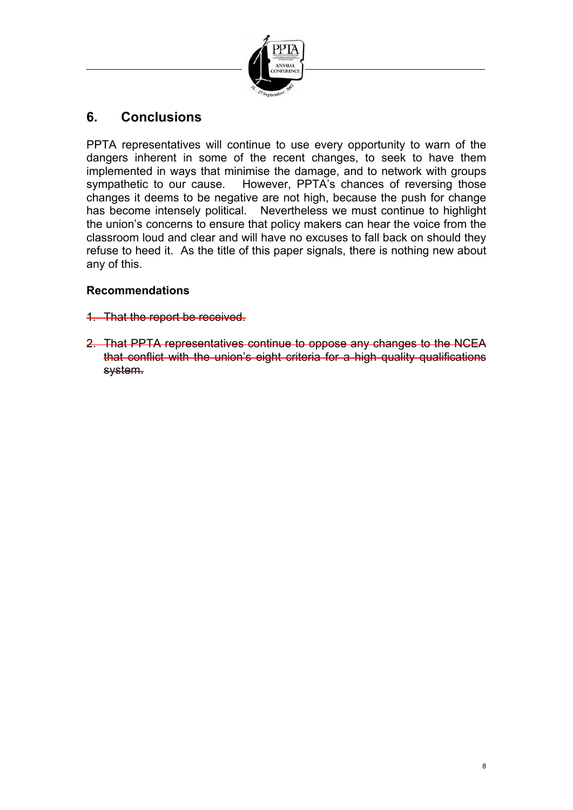

# **6. Conclusions**

PPTA representatives will continue to use every opportunity to warn of the dangers inherent in some of the recent changes, to seek to have them implemented in ways that minimise the damage, and to network with groups sympathetic to our cause. However, PPTA's chances of reversing those changes it deems to be negative are not high, because the push for change has become intensely political. Nevertheless we must continue to highlight the union's concerns to ensure that policy makers can hear the voice from the classroom loud and clear and will have no excuses to fall back on should they refuse to heed it. As the title of this paper signals, there is nothing new about any of this.

#### **Recommendations**

- 1. That the report be received.
- 2. That PPTA representatives continue to oppose any changes to the NCEA that conflict with the union's eight criteria for a high quality qualifications system.